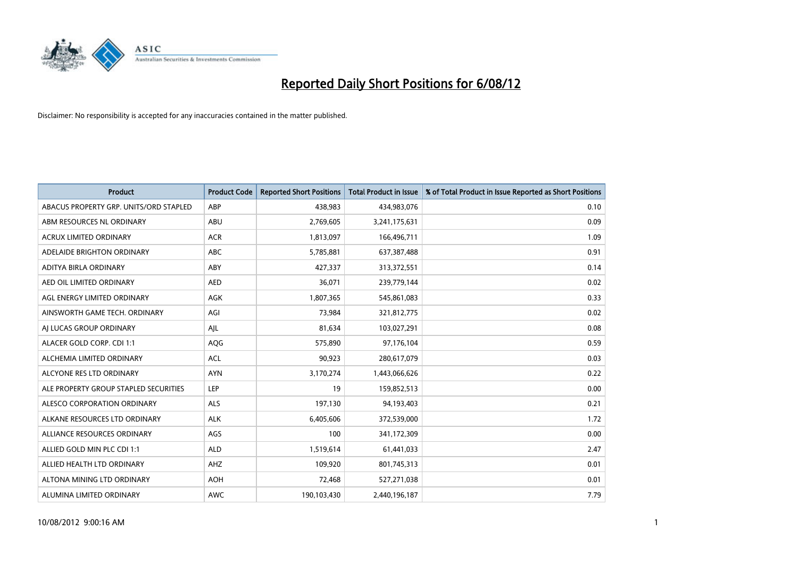

| <b>Product</b>                         | <b>Product Code</b> | <b>Reported Short Positions</b> | <b>Total Product in Issue</b> | % of Total Product in Issue Reported as Short Positions |
|----------------------------------------|---------------------|---------------------------------|-------------------------------|---------------------------------------------------------|
| ABACUS PROPERTY GRP. UNITS/ORD STAPLED | ABP                 | 438,983                         | 434,983,076                   | 0.10                                                    |
| ABM RESOURCES NL ORDINARY              | ABU                 | 2,769,605                       | 3,241,175,631                 | 0.09                                                    |
| <b>ACRUX LIMITED ORDINARY</b>          | <b>ACR</b>          | 1,813,097                       | 166,496,711                   | 1.09                                                    |
| ADELAIDE BRIGHTON ORDINARY             | <b>ABC</b>          | 5,785,881                       | 637,387,488                   | 0.91                                                    |
| <b>ADITYA BIRLA ORDINARY</b>           | ABY                 | 427,337                         | 313,372,551                   | 0.14                                                    |
| AED OIL LIMITED ORDINARY               | <b>AED</b>          | 36,071                          | 239,779,144                   | 0.02                                                    |
| AGL ENERGY LIMITED ORDINARY            | AGK                 | 1,807,365                       | 545,861,083                   | 0.33                                                    |
| AINSWORTH GAME TECH. ORDINARY          | AGI                 | 73,984                          | 321,812,775                   | 0.02                                                    |
| AI LUCAS GROUP ORDINARY                | AJL                 | 81,634                          | 103,027,291                   | 0.08                                                    |
| ALACER GOLD CORP. CDI 1:1              | AQG                 | 575,890                         | 97,176,104                    | 0.59                                                    |
| ALCHEMIA LIMITED ORDINARY              | <b>ACL</b>          | 90,923                          | 280,617,079                   | 0.03                                                    |
| ALCYONE RES LTD ORDINARY               | <b>AYN</b>          | 3,170,274                       | 1,443,066,626                 | 0.22                                                    |
| ALE PROPERTY GROUP STAPLED SECURITIES  | LEP                 | 19                              | 159,852,513                   | 0.00                                                    |
| ALESCO CORPORATION ORDINARY            | ALS                 | 197,130                         | 94,193,403                    | 0.21                                                    |
| ALKANE RESOURCES LTD ORDINARY          | <b>ALK</b>          | 6,405,606                       | 372,539,000                   | 1.72                                                    |
| ALLIANCE RESOURCES ORDINARY            | AGS                 | 100                             | 341,172,309                   | 0.00                                                    |
| ALLIED GOLD MIN PLC CDI 1:1            | <b>ALD</b>          | 1,519,614                       | 61,441,033                    | 2.47                                                    |
| ALLIED HEALTH LTD ORDINARY             | <b>AHZ</b>          | 109,920                         | 801,745,313                   | 0.01                                                    |
| ALTONA MINING LTD ORDINARY             | <b>AOH</b>          | 72,468                          | 527,271,038                   | 0.01                                                    |
| ALUMINA LIMITED ORDINARY               | <b>AWC</b>          | 190,103,430                     | 2,440,196,187                 | 7.79                                                    |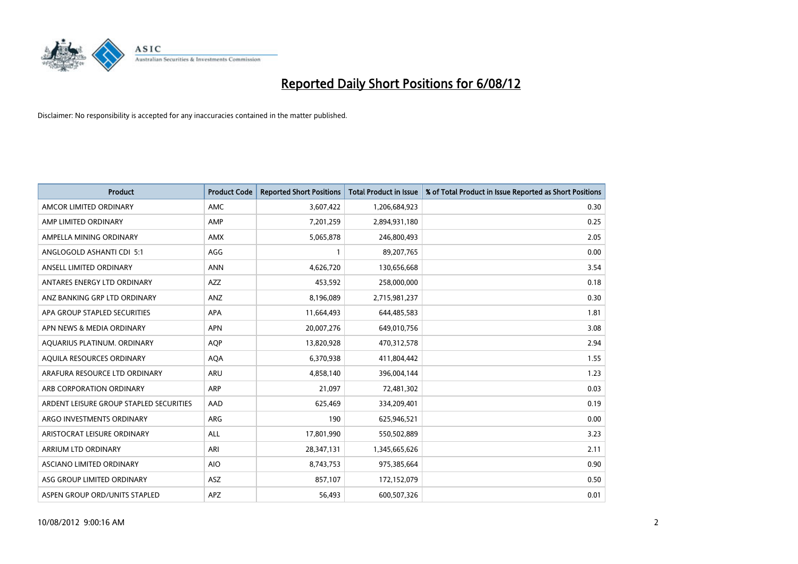

| <b>Product</b>                          | <b>Product Code</b> | <b>Reported Short Positions</b> | <b>Total Product in Issue</b> | % of Total Product in Issue Reported as Short Positions |
|-----------------------------------------|---------------------|---------------------------------|-------------------------------|---------------------------------------------------------|
| AMCOR LIMITED ORDINARY                  | <b>AMC</b>          | 3,607,422                       | 1,206,684,923                 | 0.30                                                    |
| AMP LIMITED ORDINARY                    | AMP                 | 7,201,259                       | 2,894,931,180                 | 0.25                                                    |
| AMPELLA MINING ORDINARY                 | <b>AMX</b>          | 5,065,878                       | 246,800,493                   | 2.05                                                    |
| ANGLOGOLD ASHANTI CDI 5:1               | AGG                 |                                 | 89,207,765                    | 0.00                                                    |
| ANSELL LIMITED ORDINARY                 | <b>ANN</b>          | 4,626,720                       | 130,656,668                   | 3.54                                                    |
| ANTARES ENERGY LTD ORDINARY             | <b>AZZ</b>          | 453,592                         | 258,000,000                   | 0.18                                                    |
| ANZ BANKING GRP LTD ORDINARY            | <b>ANZ</b>          | 8,196,089                       | 2,715,981,237                 | 0.30                                                    |
| APA GROUP STAPLED SECURITIES            | <b>APA</b>          | 11,664,493                      | 644,485,583                   | 1.81                                                    |
| APN NEWS & MEDIA ORDINARY               | <b>APN</b>          | 20,007,276                      | 649,010,756                   | 3.08                                                    |
| AQUARIUS PLATINUM. ORDINARY             | <b>AOP</b>          | 13,820,928                      | 470,312,578                   | 2.94                                                    |
| AQUILA RESOURCES ORDINARY               | <b>AQA</b>          | 6,370,938                       | 411,804,442                   | 1.55                                                    |
| ARAFURA RESOURCE LTD ORDINARY           | <b>ARU</b>          | 4,858,140                       | 396,004,144                   | 1.23                                                    |
| ARB CORPORATION ORDINARY                | <b>ARP</b>          | 21,097                          | 72,481,302                    | 0.03                                                    |
| ARDENT LEISURE GROUP STAPLED SECURITIES | AAD                 | 625,469                         | 334,209,401                   | 0.19                                                    |
| ARGO INVESTMENTS ORDINARY               | <b>ARG</b>          | 190                             | 625,946,521                   | 0.00                                                    |
| ARISTOCRAT LEISURE ORDINARY             | ALL                 | 17,801,990                      | 550,502,889                   | 3.23                                                    |
| ARRIUM LTD ORDINARY                     | ARI                 | 28,347,131                      | 1,345,665,626                 | 2.11                                                    |
| ASCIANO LIMITED ORDINARY                | <b>AIO</b>          | 8,743,753                       | 975,385,664                   | 0.90                                                    |
| ASG GROUP LIMITED ORDINARY              | <b>ASZ</b>          | 857,107                         | 172,152,079                   | 0.50                                                    |
| ASPEN GROUP ORD/UNITS STAPLED           | APZ                 | 56,493                          | 600,507,326                   | 0.01                                                    |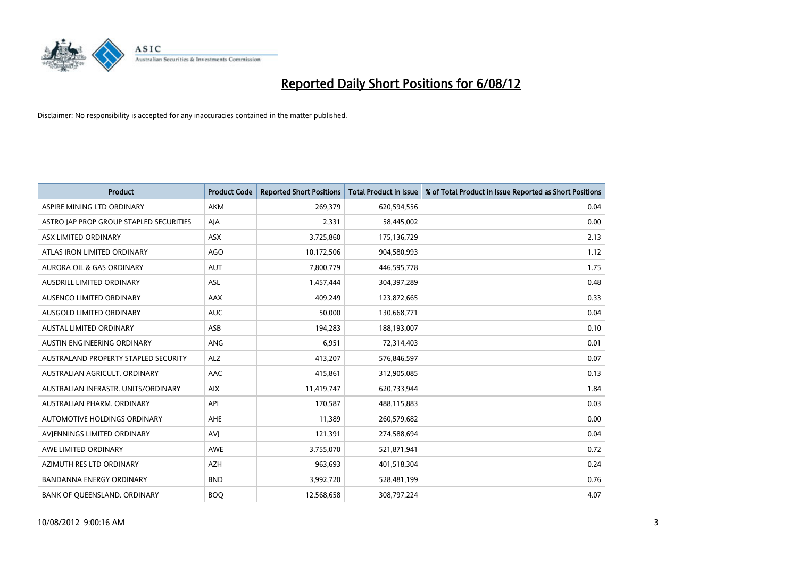

| <b>Product</b>                          | <b>Product Code</b> | <b>Reported Short Positions</b> | <b>Total Product in Issue</b> | % of Total Product in Issue Reported as Short Positions |
|-----------------------------------------|---------------------|---------------------------------|-------------------------------|---------------------------------------------------------|
| ASPIRE MINING LTD ORDINARY              | <b>AKM</b>          | 269,379                         | 620,594,556                   | 0.04                                                    |
| ASTRO JAP PROP GROUP STAPLED SECURITIES | AIA                 | 2,331                           | 58,445,002                    | 0.00                                                    |
| ASX LIMITED ORDINARY                    | <b>ASX</b>          | 3,725,860                       | 175,136,729                   | 2.13                                                    |
| ATLAS IRON LIMITED ORDINARY             | <b>AGO</b>          | 10,172,506                      | 904,580,993                   | 1.12                                                    |
| <b>AURORA OIL &amp; GAS ORDINARY</b>    | <b>AUT</b>          | 7,800,779                       | 446,595,778                   | 1.75                                                    |
| <b>AUSDRILL LIMITED ORDINARY</b>        | <b>ASL</b>          | 1,457,444                       | 304,397,289                   | 0.48                                                    |
| AUSENCO LIMITED ORDINARY                | AAX                 | 409.249                         | 123,872,665                   | 0.33                                                    |
| AUSGOLD LIMITED ORDINARY                | <b>AUC</b>          | 50,000                          | 130,668,771                   | 0.04                                                    |
| <b>AUSTAL LIMITED ORDINARY</b>          | ASB                 | 194,283                         | 188,193,007                   | 0.10                                                    |
| AUSTIN ENGINEERING ORDINARY             | <b>ANG</b>          | 6,951                           | 72,314,403                    | 0.01                                                    |
| AUSTRALAND PROPERTY STAPLED SECURITY    | <b>ALZ</b>          | 413,207                         | 576,846,597                   | 0.07                                                    |
| AUSTRALIAN AGRICULT, ORDINARY           | AAC                 | 415,861                         | 312,905,085                   | 0.13                                                    |
| AUSTRALIAN INFRASTR. UNITS/ORDINARY     | <b>AIX</b>          | 11,419,747                      | 620,733,944                   | 1.84                                                    |
| AUSTRALIAN PHARM. ORDINARY              | API                 | 170,587                         | 488,115,883                   | 0.03                                                    |
| <b>AUTOMOTIVE HOLDINGS ORDINARY</b>     | AHE                 | 11,389                          | 260,579,682                   | 0.00                                                    |
| AVIENNINGS LIMITED ORDINARY             | <b>AVI</b>          | 121,391                         | 274,588,694                   | 0.04                                                    |
| AWE LIMITED ORDINARY                    | AWE                 | 3,755,070                       | 521,871,941                   | 0.72                                                    |
| AZIMUTH RES LTD ORDINARY                | <b>AZH</b>          | 963,693                         | 401,518,304                   | 0.24                                                    |
| <b>BANDANNA ENERGY ORDINARY</b>         | <b>BND</b>          | 3,992,720                       | 528,481,199                   | 0.76                                                    |
| BANK OF QUEENSLAND. ORDINARY            | <b>BOO</b>          | 12,568,658                      | 308,797,224                   | 4.07                                                    |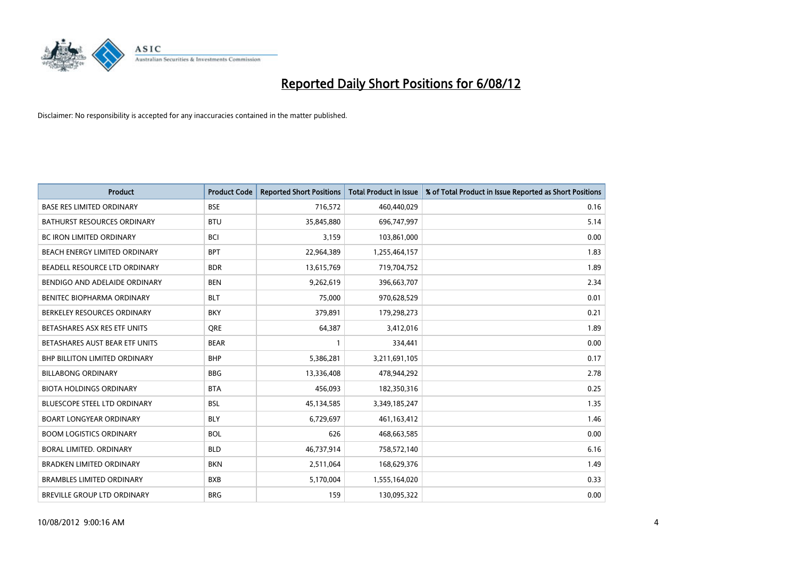

| <b>Product</b>                       | <b>Product Code</b> | <b>Reported Short Positions</b> | <b>Total Product in Issue</b> | % of Total Product in Issue Reported as Short Positions |
|--------------------------------------|---------------------|---------------------------------|-------------------------------|---------------------------------------------------------|
| <b>BASE RES LIMITED ORDINARY</b>     | <b>BSE</b>          | 716,572                         | 460,440,029                   | 0.16                                                    |
| <b>BATHURST RESOURCES ORDINARY</b>   | <b>BTU</b>          | 35,845,880                      | 696,747,997                   | 5.14                                                    |
| <b>BC IRON LIMITED ORDINARY</b>      | <b>BCI</b>          | 3,159                           | 103,861,000                   | 0.00                                                    |
| BEACH ENERGY LIMITED ORDINARY        | <b>BPT</b>          | 22,964,389                      | 1,255,464,157                 | 1.83                                                    |
| BEADELL RESOURCE LTD ORDINARY        | <b>BDR</b>          | 13,615,769                      | 719,704,752                   | 1.89                                                    |
| BENDIGO AND ADELAIDE ORDINARY        | <b>BEN</b>          | 9,262,619                       | 396,663,707                   | 2.34                                                    |
| <b>BENITEC BIOPHARMA ORDINARY</b>    | <b>BLT</b>          | 75,000                          | 970,628,529                   | 0.01                                                    |
| BERKELEY RESOURCES ORDINARY          | <b>BKY</b>          | 379,891                         | 179,298,273                   | 0.21                                                    |
| BETASHARES ASX RES ETF UNITS         | <b>ORE</b>          | 64,387                          | 3,412,016                     | 1.89                                                    |
| BETASHARES AUST BEAR ETF UNITS       | <b>BEAR</b>         |                                 | 334,441                       | 0.00                                                    |
| <b>BHP BILLITON LIMITED ORDINARY</b> | <b>BHP</b>          | 5,386,281                       | 3,211,691,105                 | 0.17                                                    |
| <b>BILLABONG ORDINARY</b>            | <b>BBG</b>          | 13,336,408                      | 478,944,292                   | 2.78                                                    |
| <b>BIOTA HOLDINGS ORDINARY</b>       | <b>BTA</b>          | 456,093                         | 182,350,316                   | 0.25                                                    |
| <b>BLUESCOPE STEEL LTD ORDINARY</b>  | <b>BSL</b>          | 45,134,585                      | 3,349,185,247                 | 1.35                                                    |
| <b>BOART LONGYEAR ORDINARY</b>       | <b>BLY</b>          | 6,729,697                       | 461,163,412                   | 1.46                                                    |
| <b>BOOM LOGISTICS ORDINARY</b>       | <b>BOL</b>          | 626                             | 468,663,585                   | 0.00                                                    |
| BORAL LIMITED. ORDINARY              | <b>BLD</b>          | 46,737,914                      | 758,572,140                   | 6.16                                                    |
| <b>BRADKEN LIMITED ORDINARY</b>      | <b>BKN</b>          | 2,511,064                       | 168,629,376                   | 1.49                                                    |
| <b>BRAMBLES LIMITED ORDINARY</b>     | <b>BXB</b>          | 5,170,004                       | 1,555,164,020                 | 0.33                                                    |
| BREVILLE GROUP LTD ORDINARY          | <b>BRG</b>          | 159                             | 130,095,322                   | 0.00                                                    |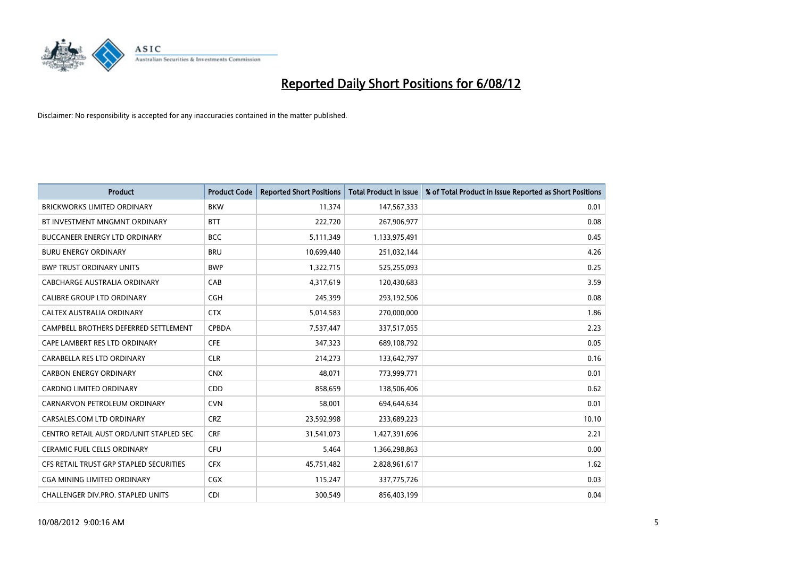

| <b>Product</b>                          | <b>Product Code</b> | <b>Reported Short Positions</b> | <b>Total Product in Issue</b> | % of Total Product in Issue Reported as Short Positions |
|-----------------------------------------|---------------------|---------------------------------|-------------------------------|---------------------------------------------------------|
| <b>BRICKWORKS LIMITED ORDINARY</b>      | <b>BKW</b>          | 11,374                          | 147,567,333                   | 0.01                                                    |
| BT INVESTMENT MNGMNT ORDINARY           | <b>BTT</b>          | 222,720                         | 267,906,977                   | 0.08                                                    |
| <b>BUCCANEER ENERGY LTD ORDINARY</b>    | <b>BCC</b>          | 5,111,349                       | 1,133,975,491                 | 0.45                                                    |
| <b>BURU ENERGY ORDINARY</b>             | <b>BRU</b>          | 10,699,440                      | 251,032,144                   | 4.26                                                    |
| <b>BWP TRUST ORDINARY UNITS</b>         | <b>BWP</b>          | 1,322,715                       | 525,255,093                   | 0.25                                                    |
| CABCHARGE AUSTRALIA ORDINARY            | CAB                 | 4,317,619                       | 120,430,683                   | 3.59                                                    |
| <b>CALIBRE GROUP LTD ORDINARY</b>       | <b>CGH</b>          | 245,399                         | 293,192,506                   | 0.08                                                    |
| <b>CALTEX AUSTRALIA ORDINARY</b>        | <b>CTX</b>          | 5,014,583                       | 270,000,000                   | 1.86                                                    |
| CAMPBELL BROTHERS DEFERRED SETTLEMENT   | <b>CPBDA</b>        | 7,537,447                       | 337,517,055                   | 2.23                                                    |
| CAPE LAMBERT RES LTD ORDINARY           | <b>CFE</b>          | 347,323                         | 689,108,792                   | 0.05                                                    |
| CARABELLA RES LTD ORDINARY              | <b>CLR</b>          | 214,273                         | 133,642,797                   | 0.16                                                    |
| <b>CARBON ENERGY ORDINARY</b>           | <b>CNX</b>          | 48,071                          | 773,999,771                   | 0.01                                                    |
| CARDNO LIMITED ORDINARY                 | CDD                 | 858,659                         | 138,506,406                   | 0.62                                                    |
| CARNARVON PETROLEUM ORDINARY            | <b>CVN</b>          | 58,001                          | 694,644,634                   | 0.01                                                    |
| CARSALES.COM LTD ORDINARY               | <b>CRZ</b>          | 23,592,998                      | 233,689,223                   | 10.10                                                   |
| CENTRO RETAIL AUST ORD/UNIT STAPLED SEC | <b>CRF</b>          | 31,541,073                      | 1,427,391,696                 | 2.21                                                    |
| CERAMIC FUEL CELLS ORDINARY             | <b>CFU</b>          | 5,464                           | 1,366,298,863                 | 0.00                                                    |
| CFS RETAIL TRUST GRP STAPLED SECURITIES | <b>CFX</b>          | 45,751,482                      | 2,828,961,617                 | 1.62                                                    |
| <b>CGA MINING LIMITED ORDINARY</b>      | <b>CGX</b>          | 115,247                         | 337,775,726                   | 0.03                                                    |
| CHALLENGER DIV.PRO. STAPLED UNITS       | <b>CDI</b>          | 300,549                         | 856,403,199                   | 0.04                                                    |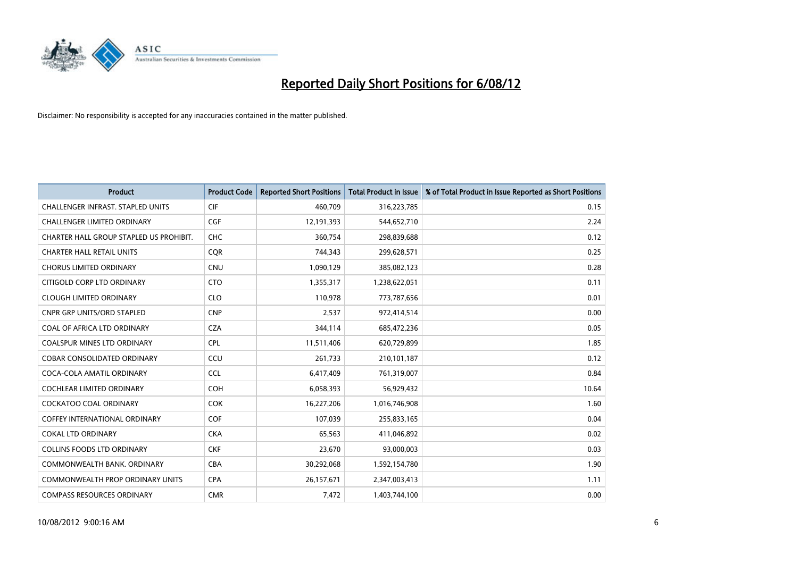

| <b>Product</b>                           | <b>Product Code</b> | <b>Reported Short Positions</b> | <b>Total Product in Issue</b> | % of Total Product in Issue Reported as Short Positions |
|------------------------------------------|---------------------|---------------------------------|-------------------------------|---------------------------------------------------------|
| <b>CHALLENGER INFRAST, STAPLED UNITS</b> | <b>CIF</b>          | 460,709                         | 316,223,785                   | 0.15                                                    |
| CHALLENGER LIMITED ORDINARY              | <b>CGF</b>          | 12,191,393                      | 544,652,710                   | 2.24                                                    |
| CHARTER HALL GROUP STAPLED US PROHIBIT.  | <b>CHC</b>          | 360,754                         | 298,839,688                   | 0.12                                                    |
| <b>CHARTER HALL RETAIL UNITS</b>         | <b>CQR</b>          | 744,343                         | 299,628,571                   | 0.25                                                    |
| <b>CHORUS LIMITED ORDINARY</b>           | <b>CNU</b>          | 1,090,129                       | 385,082,123                   | 0.28                                                    |
| CITIGOLD CORP LTD ORDINARY               | <b>CTO</b>          | 1,355,317                       | 1,238,622,051                 | 0.11                                                    |
| <b>CLOUGH LIMITED ORDINARY</b>           | <b>CLO</b>          | 110,978                         | 773,787,656                   | 0.01                                                    |
| <b>CNPR GRP UNITS/ORD STAPLED</b>        | <b>CNP</b>          | 2,537                           | 972,414,514                   | 0.00                                                    |
| <b>COAL OF AFRICA LTD ORDINARY</b>       | <b>CZA</b>          | 344,114                         | 685,472,236                   | 0.05                                                    |
| <b>COALSPUR MINES LTD ORDINARY</b>       | <b>CPL</b>          | 11,511,406                      | 620,729,899                   | 1.85                                                    |
| COBAR CONSOLIDATED ORDINARY              | CCU                 | 261,733                         | 210,101,187                   | 0.12                                                    |
| COCA-COLA AMATIL ORDINARY                | <b>CCL</b>          | 6,417,409                       | 761,319,007                   | 0.84                                                    |
| COCHLEAR LIMITED ORDINARY                | <b>COH</b>          | 6,058,393                       | 56,929,432                    | 10.64                                                   |
| <b>COCKATOO COAL ORDINARY</b>            | <b>COK</b>          | 16,227,206                      | 1,016,746,908                 | 1.60                                                    |
| <b>COFFEY INTERNATIONAL ORDINARY</b>     | <b>COF</b>          | 107,039                         | 255,833,165                   | 0.04                                                    |
| <b>COKAL LTD ORDINARY</b>                | <b>CKA</b>          | 65,563                          | 411,046,892                   | 0.02                                                    |
| <b>COLLINS FOODS LTD ORDINARY</b>        | <b>CKF</b>          | 23,670                          | 93,000,003                    | 0.03                                                    |
| COMMONWEALTH BANK, ORDINARY              | <b>CBA</b>          | 30,292,068                      | 1,592,154,780                 | 1.90                                                    |
| <b>COMMONWEALTH PROP ORDINARY UNITS</b>  | <b>CPA</b>          | 26,157,671                      | 2,347,003,413                 | 1.11                                                    |
| <b>COMPASS RESOURCES ORDINARY</b>        | <b>CMR</b>          | 7,472                           | 1,403,744,100                 | 0.00                                                    |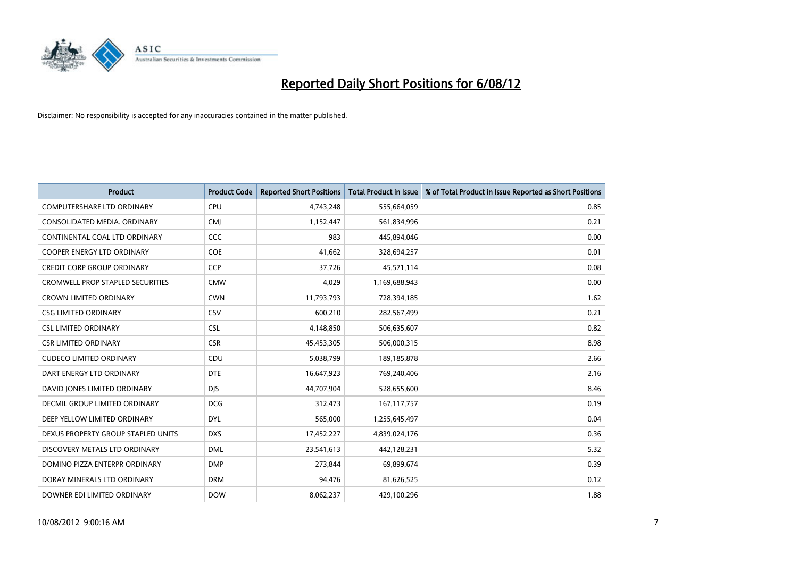

| <b>Product</b>                          | <b>Product Code</b> | <b>Reported Short Positions</b> | <b>Total Product in Issue</b> | % of Total Product in Issue Reported as Short Positions |
|-----------------------------------------|---------------------|---------------------------------|-------------------------------|---------------------------------------------------------|
| <b>COMPUTERSHARE LTD ORDINARY</b>       | <b>CPU</b>          | 4,743,248                       | 555,664,059                   | 0.85                                                    |
| CONSOLIDATED MEDIA. ORDINARY            | <b>CMI</b>          | 1,152,447                       | 561,834,996                   | 0.21                                                    |
| CONTINENTAL COAL LTD ORDINARY           | CCC                 | 983                             | 445,894,046                   | 0.00                                                    |
| COOPER ENERGY LTD ORDINARY              | COE                 | 41,662                          | 328,694,257                   | 0.01                                                    |
| <b>CREDIT CORP GROUP ORDINARY</b>       | CCP                 | 37,726                          | 45,571,114                    | 0.08                                                    |
| <b>CROMWELL PROP STAPLED SECURITIES</b> | <b>CMW</b>          | 4,029                           | 1,169,688,943                 | 0.00                                                    |
| <b>CROWN LIMITED ORDINARY</b>           | <b>CWN</b>          | 11,793,793                      | 728,394,185                   | 1.62                                                    |
| <b>CSG LIMITED ORDINARY</b>             | CSV                 | 600,210                         | 282,567,499                   | 0.21                                                    |
| <b>CSL LIMITED ORDINARY</b>             | <b>CSL</b>          | 4,148,850                       | 506,635,607                   | 0.82                                                    |
| <b>CSR LIMITED ORDINARY</b>             | <b>CSR</b>          | 45,453,305                      | 506,000,315                   | 8.98                                                    |
| <b>CUDECO LIMITED ORDINARY</b>          | CDU                 | 5,038,799                       | 189, 185, 878                 | 2.66                                                    |
| DART ENERGY LTD ORDINARY                | <b>DTE</b>          | 16,647,923                      | 769,240,406                   | 2.16                                                    |
| DAVID JONES LIMITED ORDINARY            | <b>DJS</b>          | 44,707,904                      | 528,655,600                   | 8.46                                                    |
| <b>DECMIL GROUP LIMITED ORDINARY</b>    | <b>DCG</b>          | 312,473                         | 167, 117, 757                 | 0.19                                                    |
| DEEP YELLOW LIMITED ORDINARY            | <b>DYL</b>          | 565,000                         | 1,255,645,497                 | 0.04                                                    |
| DEXUS PROPERTY GROUP STAPLED UNITS      | <b>DXS</b>          | 17,452,227                      | 4,839,024,176                 | 0.36                                                    |
| DISCOVERY METALS LTD ORDINARY           | <b>DML</b>          | 23,541,613                      | 442,128,231                   | 5.32                                                    |
| DOMINO PIZZA ENTERPR ORDINARY           | <b>DMP</b>          | 273,844                         | 69,899,674                    | 0.39                                                    |
| DORAY MINERALS LTD ORDINARY             | <b>DRM</b>          | 94,476                          | 81,626,525                    | 0.12                                                    |
| DOWNER EDI LIMITED ORDINARY             | <b>DOW</b>          | 8,062,237                       | 429,100,296                   | 1.88                                                    |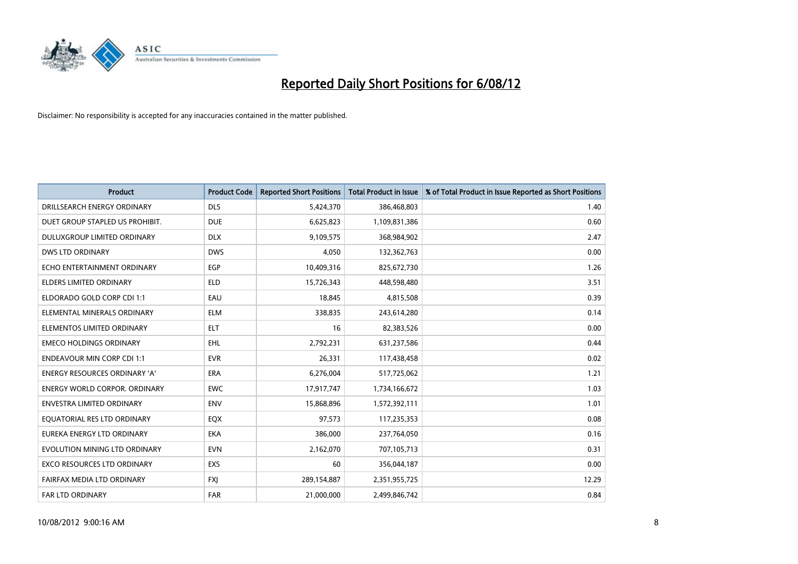

| <b>Product</b>                       | <b>Product Code</b> | <b>Reported Short Positions</b> | <b>Total Product in Issue</b> | % of Total Product in Issue Reported as Short Positions |
|--------------------------------------|---------------------|---------------------------------|-------------------------------|---------------------------------------------------------|
| DRILLSEARCH ENERGY ORDINARY          | <b>DLS</b>          | 5,424,370                       | 386,468,803                   | 1.40                                                    |
| DUET GROUP STAPLED US PROHIBIT.      | <b>DUE</b>          | 6,625,823                       | 1,109,831,386                 | 0.60                                                    |
| DULUXGROUP LIMITED ORDINARY          | <b>DLX</b>          | 9,109,575                       | 368,984,902                   | 2.47                                                    |
| DWS LTD ORDINARY                     | <b>DWS</b>          | 4,050                           | 132,362,763                   | 0.00                                                    |
| ECHO ENTERTAINMENT ORDINARY          | <b>EGP</b>          | 10,409,316                      | 825,672,730                   | 1.26                                                    |
| <b>ELDERS LIMITED ORDINARY</b>       | <b>ELD</b>          | 15,726,343                      | 448,598,480                   | 3.51                                                    |
| ELDORADO GOLD CORP CDI 1:1           | EAU                 | 18,845                          | 4,815,508                     | 0.39                                                    |
| ELEMENTAL MINERALS ORDINARY          | <b>ELM</b>          | 338,835                         | 243,614,280                   | 0.14                                                    |
| ELEMENTOS LIMITED ORDINARY           | <b>ELT</b>          | 16                              | 82,383,526                    | 0.00                                                    |
| <b>EMECO HOLDINGS ORDINARY</b>       | <b>EHL</b>          | 2,792,231                       | 631,237,586                   | 0.44                                                    |
| <b>ENDEAVOUR MIN CORP CDI 1:1</b>    | <b>EVR</b>          | 26,331                          | 117,438,458                   | 0.02                                                    |
| <b>ENERGY RESOURCES ORDINARY 'A'</b> | <b>ERA</b>          | 6,276,004                       | 517,725,062                   | 1.21                                                    |
| ENERGY WORLD CORPOR. ORDINARY        | <b>EWC</b>          | 17,917,747                      | 1,734,166,672                 | 1.03                                                    |
| <b>ENVESTRA LIMITED ORDINARY</b>     | <b>ENV</b>          | 15,868,896                      | 1,572,392,111                 | 1.01                                                    |
| EQUATORIAL RES LTD ORDINARY          | EQX                 | 97,573                          | 117,235,353                   | 0.08                                                    |
| EUREKA ENERGY LTD ORDINARY           | <b>EKA</b>          | 386,000                         | 237,764,050                   | 0.16                                                    |
| EVOLUTION MINING LTD ORDINARY        | <b>EVN</b>          | 2,162,070                       | 707,105,713                   | 0.31                                                    |
| EXCO RESOURCES LTD ORDINARY          | EXS                 | 60                              | 356,044,187                   | 0.00                                                    |
| FAIRFAX MEDIA LTD ORDINARY           | <b>FXI</b>          | 289,154,887                     | 2,351,955,725                 | 12.29                                                   |
| FAR LTD ORDINARY                     | <b>FAR</b>          | 21,000,000                      | 2,499,846,742                 | 0.84                                                    |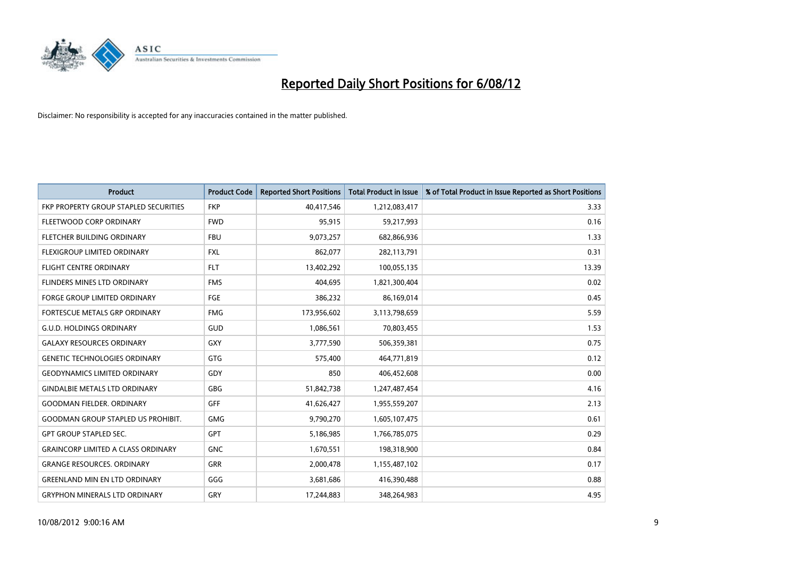

| <b>Product</b>                            | <b>Product Code</b> | <b>Reported Short Positions</b> | <b>Total Product in Issue</b> | % of Total Product in Issue Reported as Short Positions |
|-------------------------------------------|---------------------|---------------------------------|-------------------------------|---------------------------------------------------------|
| FKP PROPERTY GROUP STAPLED SECURITIES     | <b>FKP</b>          | 40,417,546                      | 1,212,083,417                 | 3.33                                                    |
| FLEETWOOD CORP ORDINARY                   | <b>FWD</b>          | 95,915                          | 59,217,993                    | 0.16                                                    |
| FLETCHER BUILDING ORDINARY                | <b>FBU</b>          | 9,073,257                       | 682,866,936                   | 1.33                                                    |
| FLEXIGROUP LIMITED ORDINARY               | <b>FXL</b>          | 862,077                         | 282,113,791                   | 0.31                                                    |
| <b>FLIGHT CENTRE ORDINARY</b>             | <b>FLT</b>          | 13,402,292                      | 100,055,135                   | 13.39                                                   |
| FLINDERS MINES LTD ORDINARY               | <b>FMS</b>          | 404.695                         | 1,821,300,404                 | 0.02                                                    |
| <b>FORGE GROUP LIMITED ORDINARY</b>       | <b>FGE</b>          | 386,232                         | 86,169,014                    | 0.45                                                    |
| FORTESCUE METALS GRP ORDINARY             | <b>FMG</b>          | 173,956,602                     | 3,113,798,659                 | 5.59                                                    |
| <b>G.U.D. HOLDINGS ORDINARY</b>           | <b>GUD</b>          | 1,086,561                       | 70,803,455                    | 1.53                                                    |
| <b>GALAXY RESOURCES ORDINARY</b>          | <b>GXY</b>          | 3,777,590                       | 506,359,381                   | 0.75                                                    |
| <b>GENETIC TECHNOLOGIES ORDINARY</b>      | <b>GTG</b>          | 575,400                         | 464,771,819                   | 0.12                                                    |
| <b>GEODYNAMICS LIMITED ORDINARY</b>       | GDY                 | 850                             | 406,452,608                   | 0.00                                                    |
| <b>GINDALBIE METALS LTD ORDINARY</b>      | <b>GBG</b>          | 51,842,738                      | 1,247,487,454                 | 4.16                                                    |
| <b>GOODMAN FIELDER, ORDINARY</b>          | <b>GFF</b>          | 41,626,427                      | 1,955,559,207                 | 2.13                                                    |
| <b>GOODMAN GROUP STAPLED US PROHIBIT.</b> | <b>GMG</b>          | 9,790,270                       | 1,605,107,475                 | 0.61                                                    |
| <b>GPT GROUP STAPLED SEC.</b>             | <b>GPT</b>          | 5,186,985                       | 1,766,785,075                 | 0.29                                                    |
| <b>GRAINCORP LIMITED A CLASS ORDINARY</b> | <b>GNC</b>          | 1,670,551                       | 198,318,900                   | 0.84                                                    |
| <b>GRANGE RESOURCES. ORDINARY</b>         | <b>GRR</b>          | 2,000,478                       | 1,155,487,102                 | 0.17                                                    |
| <b>GREENLAND MIN EN LTD ORDINARY</b>      | GGG                 | 3,681,686                       | 416,390,488                   | 0.88                                                    |
| <b>GRYPHON MINERALS LTD ORDINARY</b>      | GRY                 | 17,244,883                      | 348,264,983                   | 4.95                                                    |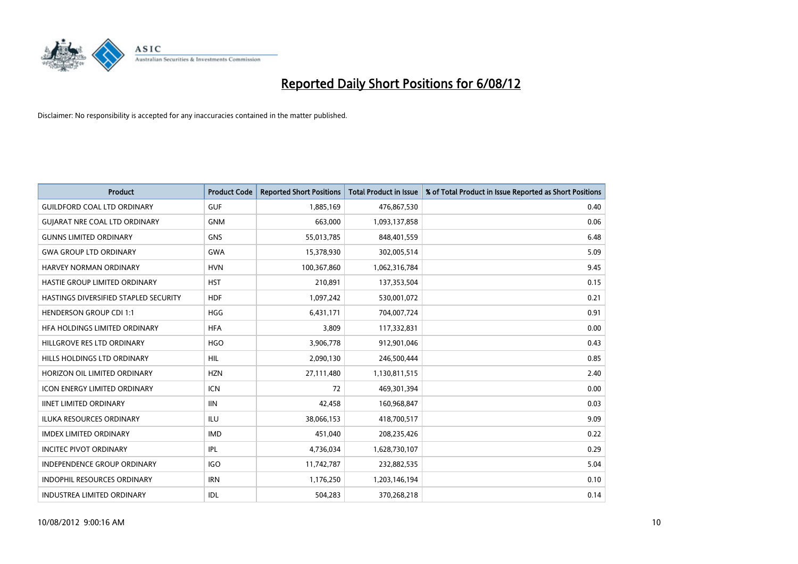

| <b>Product</b>                               | <b>Product Code</b> | <b>Reported Short Positions</b> | <b>Total Product in Issue</b> | % of Total Product in Issue Reported as Short Positions |
|----------------------------------------------|---------------------|---------------------------------|-------------------------------|---------------------------------------------------------|
| <b>GUILDFORD COAL LTD ORDINARY</b>           | <b>GUF</b>          | 1,885,169                       | 476,867,530                   | 0.40                                                    |
| <b>GUIARAT NRE COAL LTD ORDINARY</b>         | <b>GNM</b>          | 663,000                         | 1,093,137,858                 | 0.06                                                    |
| <b>GUNNS LIMITED ORDINARY</b>                | <b>GNS</b>          | 55,013,785                      | 848,401,559                   | 6.48                                                    |
| <b>GWA GROUP LTD ORDINARY</b>                | <b>GWA</b>          | 15,378,930                      | 302,005,514                   | 5.09                                                    |
| HARVEY NORMAN ORDINARY                       | <b>HVN</b>          | 100,367,860                     | 1,062,316,784                 | 9.45                                                    |
| HASTIE GROUP LIMITED ORDINARY                | <b>HST</b>          | 210,891                         | 137,353,504                   | 0.15                                                    |
| <b>HASTINGS DIVERSIFIED STAPLED SECURITY</b> | <b>HDF</b>          | 1,097,242                       | 530,001,072                   | 0.21                                                    |
| <b>HENDERSON GROUP CDI 1:1</b>               | <b>HGG</b>          | 6,431,171                       | 704,007,724                   | 0.91                                                    |
| HFA HOLDINGS LIMITED ORDINARY                | <b>HFA</b>          | 3,809                           | 117,332,831                   | 0.00                                                    |
| HILLGROVE RES LTD ORDINARY                   | <b>HGO</b>          | 3,906,778                       | 912,901,046                   | 0.43                                                    |
| HILLS HOLDINGS LTD ORDINARY                  | <b>HIL</b>          | 2,090,130                       | 246,500,444                   | 0.85                                                    |
| HORIZON OIL LIMITED ORDINARY                 | <b>HZN</b>          | 27,111,480                      | 1,130,811,515                 | 2.40                                                    |
| ICON ENERGY LIMITED ORDINARY                 | <b>ICN</b>          | 72                              | 469,301,394                   | 0.00                                                    |
| <b>IINET LIMITED ORDINARY</b>                | <b>IIN</b>          | 42,458                          | 160,968,847                   | 0.03                                                    |
| <b>ILUKA RESOURCES ORDINARY</b>              | ILU                 | 38,066,153                      | 418,700,517                   | 9.09                                                    |
| <b>IMDEX LIMITED ORDINARY</b>                | <b>IMD</b>          | 451,040                         | 208,235,426                   | 0.22                                                    |
| <b>INCITEC PIVOT ORDINARY</b>                | <b>IPL</b>          | 4,736,034                       | 1,628,730,107                 | 0.29                                                    |
| INDEPENDENCE GROUP ORDINARY                  | <b>IGO</b>          | 11,742,787                      | 232,882,535                   | 5.04                                                    |
| <b>INDOPHIL RESOURCES ORDINARY</b>           | <b>IRN</b>          | 1,176,250                       | 1,203,146,194                 | 0.10                                                    |
| INDUSTREA LIMITED ORDINARY                   | <b>IDL</b>          | 504,283                         | 370,268,218                   | 0.14                                                    |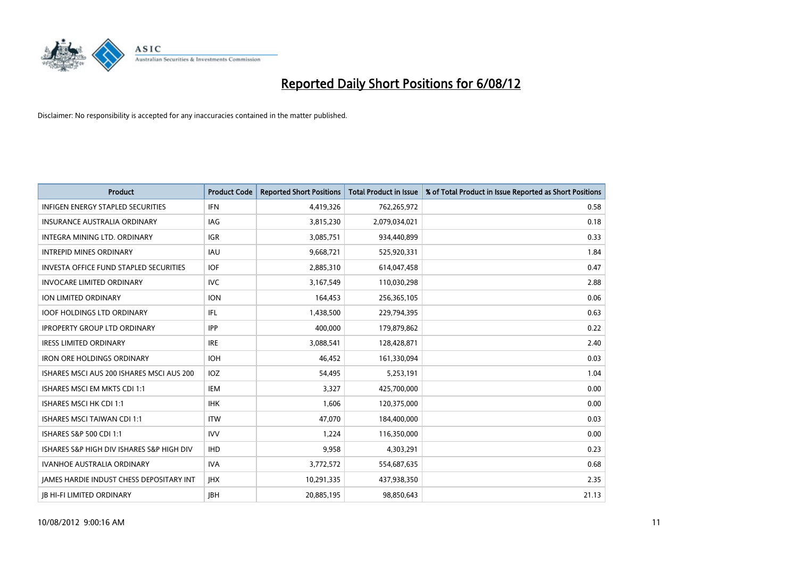

| <b>Product</b>                                  | <b>Product Code</b> | <b>Reported Short Positions</b> | <b>Total Product in Issue</b> | % of Total Product in Issue Reported as Short Positions |
|-------------------------------------------------|---------------------|---------------------------------|-------------------------------|---------------------------------------------------------|
| <b>INFIGEN ENERGY STAPLED SECURITIES</b>        | <b>IFN</b>          | 4,419,326                       | 762,265,972                   | 0.58                                                    |
| INSURANCE AUSTRALIA ORDINARY                    | IAG                 | 3,815,230                       | 2,079,034,021                 | 0.18                                                    |
| INTEGRA MINING LTD. ORDINARY                    | <b>IGR</b>          | 3,085,751                       | 934,440,899                   | 0.33                                                    |
| <b>INTREPID MINES ORDINARY</b>                  | <b>IAU</b>          | 9,668,721                       | 525,920,331                   | 1.84                                                    |
| <b>INVESTA OFFICE FUND STAPLED SECURITIES</b>   | <b>IOF</b>          | 2,885,310                       | 614,047,458                   | 0.47                                                    |
| <b>INVOCARE LIMITED ORDINARY</b>                | <b>IVC</b>          | 3,167,549                       | 110,030,298                   | 2.88                                                    |
| ION LIMITED ORDINARY                            | <b>ION</b>          | 164,453                         | 256,365,105                   | 0.06                                                    |
| <b>IOOF HOLDINGS LTD ORDINARY</b>               | <b>IFL</b>          | 1,438,500                       | 229,794,395                   | 0.63                                                    |
| <b>IPROPERTY GROUP LTD ORDINARY</b>             | <b>IPP</b>          | 400,000                         | 179,879,862                   | 0.22                                                    |
| <b>IRESS LIMITED ORDINARY</b>                   | <b>IRE</b>          | 3,088,541                       | 128,428,871                   | 2.40                                                    |
| <b>IRON ORE HOLDINGS ORDINARY</b>               | <b>IOH</b>          | 46,452                          | 161,330,094                   | 0.03                                                    |
| ISHARES MSCI AUS 200 ISHARES MSCI AUS 200       | <b>IOZ</b>          | 54,495                          | 5,253,191                     | 1.04                                                    |
| ISHARES MSCI EM MKTS CDI 1:1                    | <b>IEM</b>          | 3,327                           | 425,700,000                   | 0.00                                                    |
| ISHARES MSCI HK CDI 1:1                         | <b>IHK</b>          | 1,606                           | 120,375,000                   | 0.00                                                    |
| <b>ISHARES MSCI TAIWAN CDI 1:1</b>              | <b>ITW</b>          | 47,070                          | 184,400,000                   | 0.03                                                    |
| ISHARES S&P 500 CDI 1:1                         | <b>IVV</b>          | 1,224                           | 116,350,000                   | 0.00                                                    |
| ISHARES S&P HIGH DIV ISHARES S&P HIGH DIV       | <b>IHD</b>          | 9,958                           | 4,303,291                     | 0.23                                                    |
| <b>IVANHOE AUSTRALIA ORDINARY</b>               | <b>IVA</b>          | 3,772,572                       | 554,687,635                   | 0.68                                                    |
| <b>IAMES HARDIE INDUST CHESS DEPOSITARY INT</b> | <b>IHX</b>          | 10,291,335                      | 437,938,350                   | 2.35                                                    |
| <b>IB HI-FI LIMITED ORDINARY</b>                | <b>IBH</b>          | 20,885,195                      | 98,850,643                    | 21.13                                                   |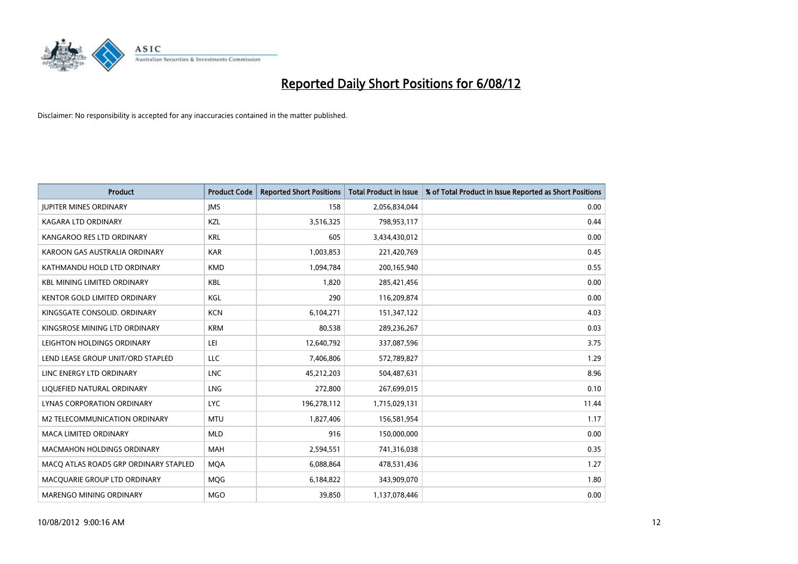

| <b>Product</b>                        | <b>Product Code</b> | <b>Reported Short Positions</b> | <b>Total Product in Issue</b> | % of Total Product in Issue Reported as Short Positions |
|---------------------------------------|---------------------|---------------------------------|-------------------------------|---------------------------------------------------------|
| <b>JUPITER MINES ORDINARY</b>         | <b>IMS</b>          | 158                             | 2,056,834,044                 | 0.00                                                    |
| <b>KAGARA LTD ORDINARY</b>            | <b>KZL</b>          | 3,516,325                       | 798,953,117                   | 0.44                                                    |
| KANGAROO RES LTD ORDINARY             | <b>KRL</b>          | 605                             | 3,434,430,012                 | 0.00                                                    |
| KAROON GAS AUSTRALIA ORDINARY         | <b>KAR</b>          | 1,003,853                       | 221,420,769                   | 0.45                                                    |
| KATHMANDU HOLD LTD ORDINARY           | <b>KMD</b>          | 1,094,784                       | 200,165,940                   | 0.55                                                    |
| <b>KBL MINING LIMITED ORDINARY</b>    | <b>KBL</b>          | 1,820                           | 285,421,456                   | 0.00                                                    |
| <b>KENTOR GOLD LIMITED ORDINARY</b>   | KGL                 | 290                             | 116,209,874                   | 0.00                                                    |
| KINGSGATE CONSOLID. ORDINARY          | <b>KCN</b>          | 6,104,271                       | 151,347,122                   | 4.03                                                    |
| KINGSROSE MINING LTD ORDINARY         | <b>KRM</b>          | 80,538                          | 289,236,267                   | 0.03                                                    |
| LEIGHTON HOLDINGS ORDINARY            | LEI                 | 12,640,792                      | 337,087,596                   | 3.75                                                    |
| LEND LEASE GROUP UNIT/ORD STAPLED     | <b>LLC</b>          | 7,406,806                       | 572,789,827                   | 1.29                                                    |
| LINC ENERGY LTD ORDINARY              | <b>LNC</b>          | 45,212,203                      | 504,487,631                   | 8.96                                                    |
| LIQUEFIED NATURAL ORDINARY            | <b>LNG</b>          | 272,800                         | 267,699,015                   | 0.10                                                    |
| <b>LYNAS CORPORATION ORDINARY</b>     | <b>LYC</b>          | 196,278,112                     | 1,715,029,131                 | 11.44                                                   |
| M2 TELECOMMUNICATION ORDINARY         | <b>MTU</b>          | 1,827,406                       | 156,581,954                   | 1.17                                                    |
| <b>MACA LIMITED ORDINARY</b>          | <b>MLD</b>          | 916                             | 150,000,000                   | 0.00                                                    |
| <b>MACMAHON HOLDINGS ORDINARY</b>     | <b>MAH</b>          | 2,594,551                       | 741,316,038                   | 0.35                                                    |
| MACQ ATLAS ROADS GRP ORDINARY STAPLED | <b>MQA</b>          | 6,088,864                       | 478,531,436                   | 1.27                                                    |
| MACOUARIE GROUP LTD ORDINARY          | <b>MOG</b>          | 6,184,822                       | 343,909,070                   | 1.80                                                    |
| <b>MARENGO MINING ORDINARY</b>        | <b>MGO</b>          | 39.850                          | 1,137,078,446                 | 0.00                                                    |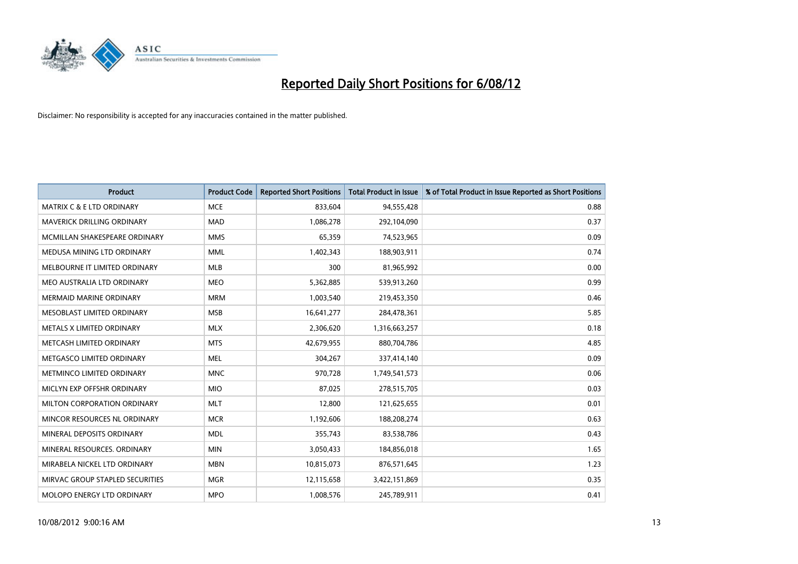

| <b>Product</b>                       | <b>Product Code</b> | <b>Reported Short Positions</b> | <b>Total Product in Issue</b> | % of Total Product in Issue Reported as Short Positions |
|--------------------------------------|---------------------|---------------------------------|-------------------------------|---------------------------------------------------------|
| <b>MATRIX C &amp; E LTD ORDINARY</b> | <b>MCE</b>          | 833,604                         | 94,555,428                    | 0.88                                                    |
| MAVERICK DRILLING ORDINARY           | <b>MAD</b>          | 1,086,278                       | 292,104,090                   | 0.37                                                    |
| MCMILLAN SHAKESPEARE ORDINARY        | <b>MMS</b>          | 65,359                          | 74,523,965                    | 0.09                                                    |
| MEDUSA MINING LTD ORDINARY           | <b>MML</b>          | 1,402,343                       | 188,903,911                   | 0.74                                                    |
| MELBOURNE IT LIMITED ORDINARY        | <b>MLB</b>          | 300                             | 81,965,992                    | 0.00                                                    |
| MEO AUSTRALIA LTD ORDINARY           | <b>MEO</b>          | 5,362,885                       | 539,913,260                   | 0.99                                                    |
| <b>MERMAID MARINE ORDINARY</b>       | <b>MRM</b>          | 1,003,540                       | 219,453,350                   | 0.46                                                    |
| MESOBLAST LIMITED ORDINARY           | <b>MSB</b>          | 16,641,277                      | 284,478,361                   | 5.85                                                    |
| METALS X LIMITED ORDINARY            | <b>MLX</b>          | 2,306,620                       | 1,316,663,257                 | 0.18                                                    |
| METCASH LIMITED ORDINARY             | <b>MTS</b>          | 42,679,955                      | 880,704,786                   | 4.85                                                    |
| METGASCO LIMITED ORDINARY            | <b>MEL</b>          | 304,267                         | 337,414,140                   | 0.09                                                    |
| METMINCO LIMITED ORDINARY            | <b>MNC</b>          | 970,728                         | 1,749,541,573                 | 0.06                                                    |
| MICLYN EXP OFFSHR ORDINARY           | <b>MIO</b>          | 87,025                          | 278,515,705                   | 0.03                                                    |
| MILTON CORPORATION ORDINARY          | <b>MLT</b>          | 12,800                          | 121,625,655                   | 0.01                                                    |
| MINCOR RESOURCES NL ORDINARY         | <b>MCR</b>          | 1,192,606                       | 188,208,274                   | 0.63                                                    |
| MINERAL DEPOSITS ORDINARY            | <b>MDL</b>          | 355,743                         | 83,538,786                    | 0.43                                                    |
| MINERAL RESOURCES. ORDINARY          | <b>MIN</b>          | 3,050,433                       | 184,856,018                   | 1.65                                                    |
| MIRABELA NICKEL LTD ORDINARY         | <b>MBN</b>          | 10,815,073                      | 876,571,645                   | 1.23                                                    |
| MIRVAC GROUP STAPLED SECURITIES      | <b>MGR</b>          | 12,115,658                      | 3,422,151,869                 | 0.35                                                    |
| MOLOPO ENERGY LTD ORDINARY           | <b>MPO</b>          | 1,008,576                       | 245,789,911                   | 0.41                                                    |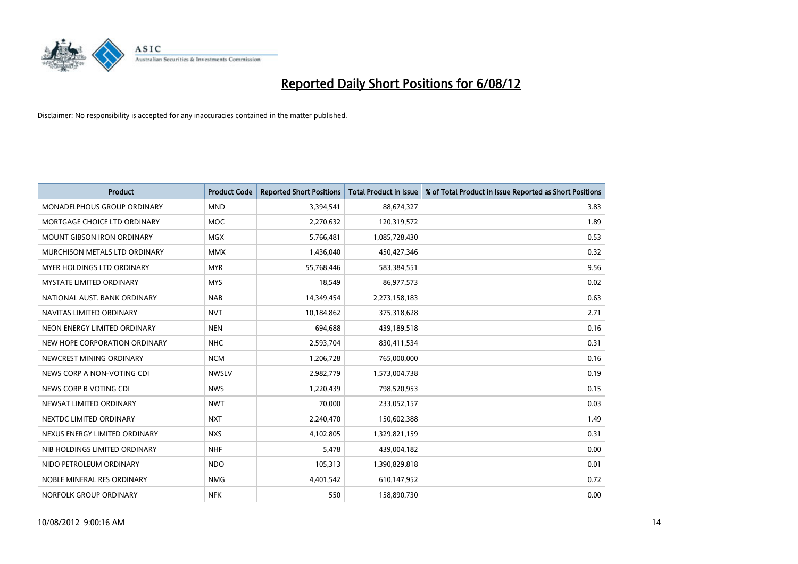

| <b>Product</b>                     | <b>Product Code</b> | <b>Reported Short Positions</b> | <b>Total Product in Issue</b> | % of Total Product in Issue Reported as Short Positions |
|------------------------------------|---------------------|---------------------------------|-------------------------------|---------------------------------------------------------|
| <b>MONADELPHOUS GROUP ORDINARY</b> | <b>MND</b>          | 3,394,541                       | 88,674,327                    | 3.83                                                    |
| MORTGAGE CHOICE LTD ORDINARY       | <b>MOC</b>          | 2,270,632                       | 120,319,572                   | 1.89                                                    |
| <b>MOUNT GIBSON IRON ORDINARY</b>  | <b>MGX</b>          | 5,766,481                       | 1,085,728,430                 | 0.53                                                    |
| MURCHISON METALS LTD ORDINARY      | <b>MMX</b>          | 1,436,040                       | 450,427,346                   | 0.32                                                    |
| <b>MYER HOLDINGS LTD ORDINARY</b>  | <b>MYR</b>          | 55,768,446                      | 583,384,551                   | 9.56                                                    |
| MYSTATE LIMITED ORDINARY           | <b>MYS</b>          | 18,549                          | 86,977,573                    | 0.02                                                    |
| NATIONAL AUST. BANK ORDINARY       | <b>NAB</b>          | 14,349,454                      | 2,273,158,183                 | 0.63                                                    |
| NAVITAS LIMITED ORDINARY           | <b>NVT</b>          | 10,184,862                      | 375,318,628                   | 2.71                                                    |
| NEON ENERGY LIMITED ORDINARY       | <b>NEN</b>          | 694.688                         | 439,189,518                   | 0.16                                                    |
| NEW HOPE CORPORATION ORDINARY      | <b>NHC</b>          | 2,593,704                       | 830,411,534                   | 0.31                                                    |
| NEWCREST MINING ORDINARY           | <b>NCM</b>          | 1,206,728                       | 765,000,000                   | 0.16                                                    |
| NEWS CORP A NON-VOTING CDI         | <b>NWSLV</b>        | 2,982,779                       | 1,573,004,738                 | 0.19                                                    |
| NEWS CORP B VOTING CDI             | <b>NWS</b>          | 1,220,439                       | 798,520,953                   | 0.15                                                    |
| NEWSAT LIMITED ORDINARY            | <b>NWT</b>          | 70,000                          | 233,052,157                   | 0.03                                                    |
| NEXTDC LIMITED ORDINARY            | <b>NXT</b>          | 2,240,470                       | 150,602,388                   | 1.49                                                    |
| NEXUS ENERGY LIMITED ORDINARY      | <b>NXS</b>          | 4,102,805                       | 1,329,821,159                 | 0.31                                                    |
| NIB HOLDINGS LIMITED ORDINARY      | <b>NHF</b>          | 5,478                           | 439,004,182                   | 0.00                                                    |
| NIDO PETROLEUM ORDINARY            | NDO                 | 105,313                         | 1,390,829,818                 | 0.01                                                    |
| NOBLE MINERAL RES ORDINARY         | <b>NMG</b>          | 4,401,542                       | 610,147,952                   | 0.72                                                    |
| NORFOLK GROUP ORDINARY             | <b>NFK</b>          | 550                             | 158,890,730                   | 0.00                                                    |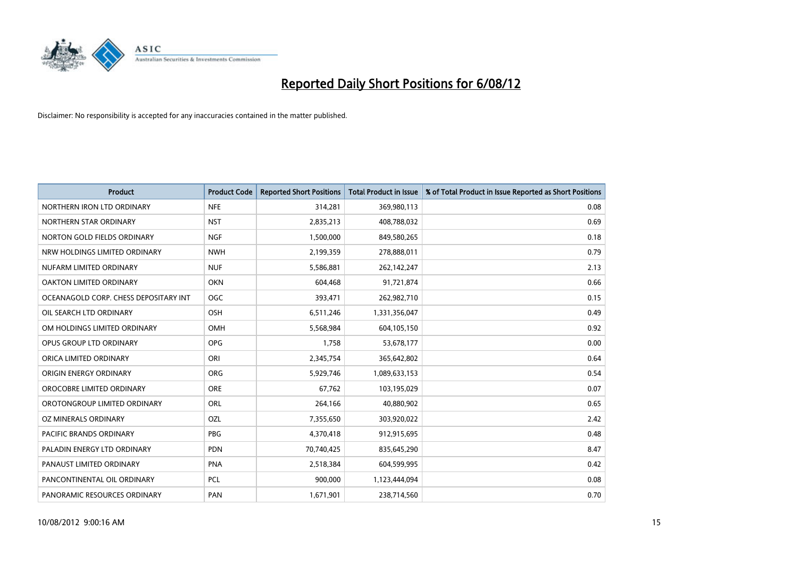

| <b>Product</b>                        | <b>Product Code</b> | <b>Reported Short Positions</b> | <b>Total Product in Issue</b> | % of Total Product in Issue Reported as Short Positions |
|---------------------------------------|---------------------|---------------------------------|-------------------------------|---------------------------------------------------------|
| NORTHERN IRON LTD ORDINARY            | <b>NFE</b>          | 314,281                         | 369,980,113                   | 0.08                                                    |
| NORTHERN STAR ORDINARY                | <b>NST</b>          | 2,835,213                       | 408,788,032                   | 0.69                                                    |
| NORTON GOLD FIELDS ORDINARY           | <b>NGF</b>          | 1,500,000                       | 849,580,265                   | 0.18                                                    |
| NRW HOLDINGS LIMITED ORDINARY         | <b>NWH</b>          | 2,199,359                       | 278,888,011                   | 0.79                                                    |
| NUFARM LIMITED ORDINARY               | <b>NUF</b>          | 5,586,881                       | 262,142,247                   | 2.13                                                    |
| OAKTON LIMITED ORDINARY               | <b>OKN</b>          | 604,468                         | 91,721,874                    | 0.66                                                    |
| OCEANAGOLD CORP. CHESS DEPOSITARY INT | <b>OGC</b>          | 393,471                         | 262,982,710                   | 0.15                                                    |
| OIL SEARCH LTD ORDINARY               | OSH                 | 6,511,246                       | 1,331,356,047                 | 0.49                                                    |
| OM HOLDINGS LIMITED ORDINARY          | OMH                 | 5,568,984                       | 604,105,150                   | 0.92                                                    |
| OPUS GROUP LTD ORDINARY               | <b>OPG</b>          | 1,758                           | 53,678,177                    | 0.00                                                    |
| ORICA LIMITED ORDINARY                | ORI                 | 2,345,754                       | 365,642,802                   | 0.64                                                    |
| ORIGIN ENERGY ORDINARY                | <b>ORG</b>          | 5,929,746                       | 1,089,633,153                 | 0.54                                                    |
| OROCOBRE LIMITED ORDINARY             | <b>ORE</b>          | 67,762                          | 103,195,029                   | 0.07                                                    |
| OROTONGROUP LIMITED ORDINARY          | ORL                 | 264,166                         | 40,880,902                    | 0.65                                                    |
| OZ MINERALS ORDINARY                  | OZL                 | 7,355,650                       | 303,920,022                   | 2.42                                                    |
| PACIFIC BRANDS ORDINARY               | <b>PBG</b>          | 4,370,418                       | 912,915,695                   | 0.48                                                    |
| PALADIN ENERGY LTD ORDINARY           | <b>PDN</b>          | 70,740,425                      | 835,645,290                   | 8.47                                                    |
| PANAUST LIMITED ORDINARY              | <b>PNA</b>          | 2,518,384                       | 604,599,995                   | 0.42                                                    |
| PANCONTINENTAL OIL ORDINARY           | <b>PCL</b>          | 900,000                         | 1,123,444,094                 | 0.08                                                    |
| PANORAMIC RESOURCES ORDINARY          | PAN                 | 1,671,901                       | 238,714,560                   | 0.70                                                    |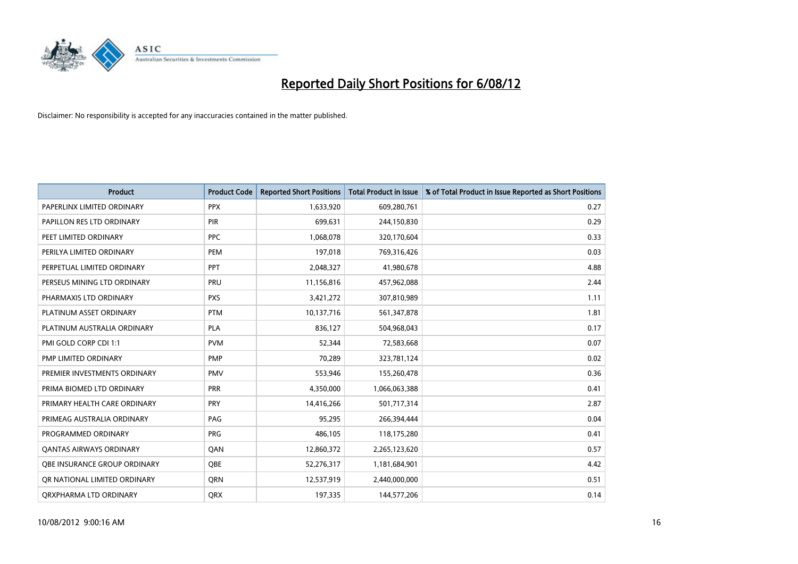

| <b>Product</b>                      | <b>Product Code</b> | <b>Reported Short Positions</b> | <b>Total Product in Issue</b> | % of Total Product in Issue Reported as Short Positions |
|-------------------------------------|---------------------|---------------------------------|-------------------------------|---------------------------------------------------------|
| PAPERLINX LIMITED ORDINARY          | <b>PPX</b>          | 1,633,920                       | 609,280,761                   | 0.27                                                    |
| PAPILLON RES LTD ORDINARY           | <b>PIR</b>          | 699,631                         | 244,150,830                   | 0.29                                                    |
| PEET LIMITED ORDINARY               | <b>PPC</b>          | 1,068,078                       | 320,170,604                   | 0.33                                                    |
| PERILYA LIMITED ORDINARY            | PEM                 | 197,018                         | 769,316,426                   | 0.03                                                    |
| PERPETUAL LIMITED ORDINARY          | <b>PPT</b>          | 2,048,327                       | 41,980,678                    | 4.88                                                    |
| PERSEUS MINING LTD ORDINARY         | PRU                 | 11,156,816                      | 457,962,088                   | 2.44                                                    |
| PHARMAXIS LTD ORDINARY              | <b>PXS</b>          | 3,421,272                       | 307,810,989                   | 1.11                                                    |
| PLATINUM ASSET ORDINARY             | <b>PTM</b>          | 10,137,716                      | 561,347,878                   | 1.81                                                    |
| PLATINUM AUSTRALIA ORDINARY         | <b>PLA</b>          | 836,127                         | 504,968,043                   | 0.17                                                    |
| PMI GOLD CORP CDI 1:1               | <b>PVM</b>          | 52,344                          | 72,583,668                    | 0.07                                                    |
| PMP LIMITED ORDINARY                | <b>PMP</b>          | 70,289                          | 323,781,124                   | 0.02                                                    |
| PREMIER INVESTMENTS ORDINARY        | <b>PMV</b>          | 553,946                         | 155,260,478                   | 0.36                                                    |
| PRIMA BIOMED LTD ORDINARY           | <b>PRR</b>          | 4,350,000                       | 1,066,063,388                 | 0.41                                                    |
| PRIMARY HEALTH CARE ORDINARY        | <b>PRY</b>          | 14,416,266                      | 501,717,314                   | 2.87                                                    |
| PRIMEAG AUSTRALIA ORDINARY          | PAG                 | 95,295                          | 266,394,444                   | 0.04                                                    |
| PROGRAMMED ORDINARY                 | <b>PRG</b>          | 486,105                         | 118,175,280                   | 0.41                                                    |
| <b>QANTAS AIRWAYS ORDINARY</b>      | QAN                 | 12,860,372                      | 2,265,123,620                 | 0.57                                                    |
| <b>OBE INSURANCE GROUP ORDINARY</b> | <b>OBE</b>          | 52,276,317                      | 1,181,684,901                 | 4.42                                                    |
| OR NATIONAL LIMITED ORDINARY        | <b>ORN</b>          | 12,537,919                      | 2,440,000,000                 | 0.51                                                    |
| ORXPHARMA LTD ORDINARY              | <b>QRX</b>          | 197,335                         | 144,577,206                   | 0.14                                                    |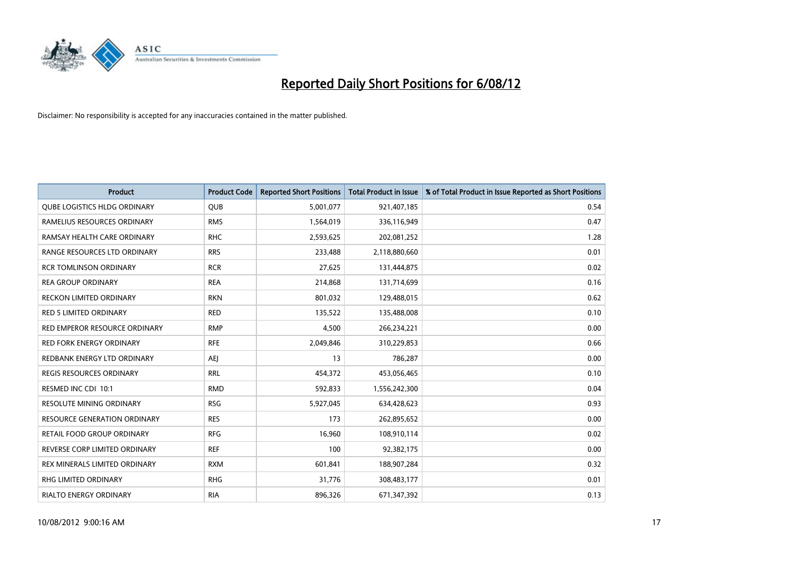

| <b>Product</b>                      | <b>Product Code</b> | <b>Reported Short Positions</b> | <b>Total Product in Issue</b> | % of Total Product in Issue Reported as Short Positions |
|-------------------------------------|---------------------|---------------------------------|-------------------------------|---------------------------------------------------------|
| <b>QUBE LOGISTICS HLDG ORDINARY</b> | <b>QUB</b>          | 5,001,077                       | 921,407,185                   | 0.54                                                    |
| RAMELIUS RESOURCES ORDINARY         | <b>RMS</b>          | 1,564,019                       | 336,116,949                   | 0.47                                                    |
| RAMSAY HEALTH CARE ORDINARY         | <b>RHC</b>          | 2,593,625                       | 202,081,252                   | 1.28                                                    |
| RANGE RESOURCES LTD ORDINARY        | <b>RRS</b>          | 233,488                         | 2,118,880,660                 | 0.01                                                    |
| <b>RCR TOMLINSON ORDINARY</b>       | <b>RCR</b>          | 27,625                          | 131,444,875                   | 0.02                                                    |
| <b>REA GROUP ORDINARY</b>           | <b>REA</b>          | 214,868                         | 131,714,699                   | 0.16                                                    |
| <b>RECKON LIMITED ORDINARY</b>      | <b>RKN</b>          | 801,032                         | 129,488,015                   | 0.62                                                    |
| <b>RED 5 LIMITED ORDINARY</b>       | <b>RED</b>          | 135,522                         | 135,488,008                   | 0.10                                                    |
| RED EMPEROR RESOURCE ORDINARY       | <b>RMP</b>          | 4,500                           | 266,234,221                   | 0.00                                                    |
| <b>RED FORK ENERGY ORDINARY</b>     | <b>RFE</b>          | 2,049,846                       | 310,229,853                   | 0.66                                                    |
| REDBANK ENERGY LTD ORDINARY         | AEI                 | 13                              | 786,287                       | 0.00                                                    |
| <b>REGIS RESOURCES ORDINARY</b>     | <b>RRL</b>          | 454,372                         | 453,056,465                   | 0.10                                                    |
| RESMED INC CDI 10:1                 | <b>RMD</b>          | 592,833                         | 1,556,242,300                 | 0.04                                                    |
| <b>RESOLUTE MINING ORDINARY</b>     | <b>RSG</b>          | 5,927,045                       | 634,428,623                   | 0.93                                                    |
| <b>RESOURCE GENERATION ORDINARY</b> | <b>RES</b>          | 173                             | 262,895,652                   | 0.00                                                    |
| RETAIL FOOD GROUP ORDINARY          | <b>RFG</b>          | 16,960                          | 108,910,114                   | 0.02                                                    |
| REVERSE CORP LIMITED ORDINARY       | <b>REF</b>          | 100                             | 92,382,175                    | 0.00                                                    |
| REX MINERALS LIMITED ORDINARY       | <b>RXM</b>          | 601,841                         | 188,907,284                   | 0.32                                                    |
| <b>RHG LIMITED ORDINARY</b>         | <b>RHG</b>          | 31,776                          | 308,483,177                   | 0.01                                                    |
| <b>RIALTO ENERGY ORDINARY</b>       | <b>RIA</b>          | 896.326                         | 671,347,392                   | 0.13                                                    |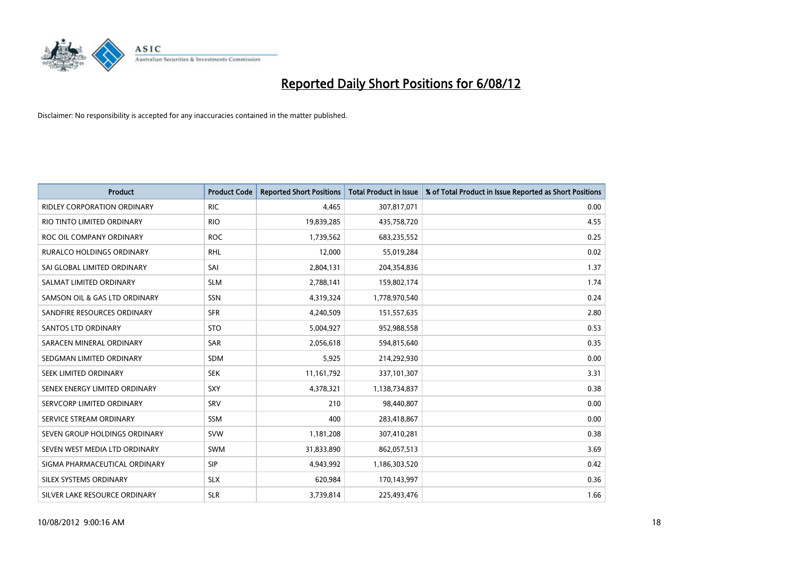

| <b>Product</b>                     | <b>Product Code</b> | <b>Reported Short Positions</b> | <b>Total Product in Issue</b> | % of Total Product in Issue Reported as Short Positions |
|------------------------------------|---------------------|---------------------------------|-------------------------------|---------------------------------------------------------|
| <b>RIDLEY CORPORATION ORDINARY</b> | <b>RIC</b>          | 4,465                           | 307,817,071                   | 0.00                                                    |
| RIO TINTO LIMITED ORDINARY         | <b>RIO</b>          | 19,839,285                      | 435,758,720                   | 4.55                                                    |
| ROC OIL COMPANY ORDINARY           | <b>ROC</b>          | 1,739,562                       | 683,235,552                   | 0.25                                                    |
| RURALCO HOLDINGS ORDINARY          | <b>RHL</b>          | 12,000                          | 55,019,284                    | 0.02                                                    |
| SAI GLOBAL LIMITED ORDINARY        | SAI                 | 2,804,131                       | 204,354,836                   | 1.37                                                    |
| SALMAT LIMITED ORDINARY            | <b>SLM</b>          | 2,788,141                       | 159,802,174                   | 1.74                                                    |
| SAMSON OIL & GAS LTD ORDINARY      | SSN                 | 4,319,324                       | 1,778,970,540                 | 0.24                                                    |
| SANDFIRE RESOURCES ORDINARY        | <b>SFR</b>          | 4,240,509                       | 151,557,635                   | 2.80                                                    |
| <b>SANTOS LTD ORDINARY</b>         | <b>STO</b>          | 5,004,927                       | 952,988,558                   | 0.53                                                    |
| SARACEN MINERAL ORDINARY           | SAR                 | 2,056,618                       | 594,815,640                   | 0.35                                                    |
| SEDGMAN LIMITED ORDINARY           | <b>SDM</b>          | 5,925                           | 214,292,930                   | 0.00                                                    |
| <b>SEEK LIMITED ORDINARY</b>       | <b>SEK</b>          | 11,161,792                      | 337,101,307                   | 3.31                                                    |
| SENEX ENERGY LIMITED ORDINARY      | SXY                 | 4,378,321                       | 1,138,734,837                 | 0.38                                                    |
| SERVCORP LIMITED ORDINARY          | SRV                 | 210                             | 98.440.807                    | 0.00                                                    |
| SERVICE STREAM ORDINARY            | <b>SSM</b>          | 400                             | 283,418,867                   | 0.00                                                    |
| SEVEN GROUP HOLDINGS ORDINARY      | <b>SVW</b>          | 1,181,208                       | 307,410,281                   | 0.38                                                    |
| SEVEN WEST MEDIA LTD ORDINARY      | <b>SWM</b>          | 31,833,890                      | 862,057,513                   | 3.69                                                    |
| SIGMA PHARMACEUTICAL ORDINARY      | <b>SIP</b>          | 4,943,992                       | 1,186,303,520                 | 0.42                                                    |
| SILEX SYSTEMS ORDINARY             | <b>SLX</b>          | 620,984                         | 170,143,997                   | 0.36                                                    |
| SILVER LAKE RESOURCE ORDINARY      | <b>SLR</b>          | 3,739,814                       | 225,493,476                   | 1.66                                                    |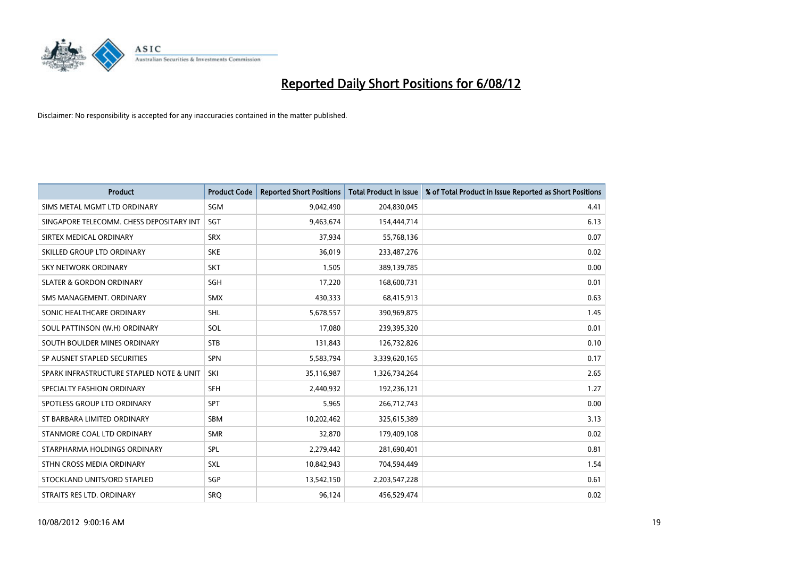

| <b>Product</b>                           | <b>Product Code</b> | <b>Reported Short Positions</b> | <b>Total Product in Issue</b> | % of Total Product in Issue Reported as Short Positions |
|------------------------------------------|---------------------|---------------------------------|-------------------------------|---------------------------------------------------------|
| SIMS METAL MGMT LTD ORDINARY             | SGM                 | 9,042,490                       | 204,830,045                   | 4.41                                                    |
| SINGAPORE TELECOMM. CHESS DEPOSITARY INT | <b>SGT</b>          | 9,463,674                       | 154,444,714                   | 6.13                                                    |
| SIRTEX MEDICAL ORDINARY                  | <b>SRX</b>          | 37,934                          | 55,768,136                    | 0.07                                                    |
| SKILLED GROUP LTD ORDINARY               | <b>SKE</b>          | 36,019                          | 233,487,276                   | 0.02                                                    |
| <b>SKY NETWORK ORDINARY</b>              | <b>SKT</b>          | 1,505                           | 389,139,785                   | 0.00                                                    |
| <b>SLATER &amp; GORDON ORDINARY</b>      | SGH                 | 17,220                          | 168,600,731                   | 0.01                                                    |
| SMS MANAGEMENT, ORDINARY                 | <b>SMX</b>          | 430,333                         | 68,415,913                    | 0.63                                                    |
| SONIC HEALTHCARE ORDINARY                | <b>SHL</b>          | 5,678,557                       | 390,969,875                   | 1.45                                                    |
| SOUL PATTINSON (W.H) ORDINARY            | SOL                 | 17,080                          | 239,395,320                   | 0.01                                                    |
| SOUTH BOULDER MINES ORDINARY             | <b>STB</b>          | 131,843                         | 126,732,826                   | 0.10                                                    |
| SP AUSNET STAPLED SECURITIES             | <b>SPN</b>          | 5,583,794                       | 3,339,620,165                 | 0.17                                                    |
| SPARK INFRASTRUCTURE STAPLED NOTE & UNIT | SKI                 | 35,116,987                      | 1,326,734,264                 | 2.65                                                    |
| SPECIALTY FASHION ORDINARY               | <b>SFH</b>          | 2,440,932                       | 192,236,121                   | 1.27                                                    |
| SPOTLESS GROUP LTD ORDINARY              | <b>SPT</b>          | 5,965                           | 266,712,743                   | 0.00                                                    |
| ST BARBARA LIMITED ORDINARY              | <b>SBM</b>          | 10,202,462                      | 325,615,389                   | 3.13                                                    |
| STANMORE COAL LTD ORDINARY               | <b>SMR</b>          | 32,870                          | 179,409,108                   | 0.02                                                    |
| STARPHARMA HOLDINGS ORDINARY             | SPL                 | 2,279,442                       | 281,690,401                   | 0.81                                                    |
| STHN CROSS MEDIA ORDINARY                | <b>SXL</b>          | 10,842,943                      | 704,594,449                   | 1.54                                                    |
| STOCKLAND UNITS/ORD STAPLED              | SGP                 | 13,542,150                      | 2,203,547,228                 | 0.61                                                    |
| STRAITS RES LTD. ORDINARY                | SRQ                 | 96,124                          | 456,529,474                   | 0.02                                                    |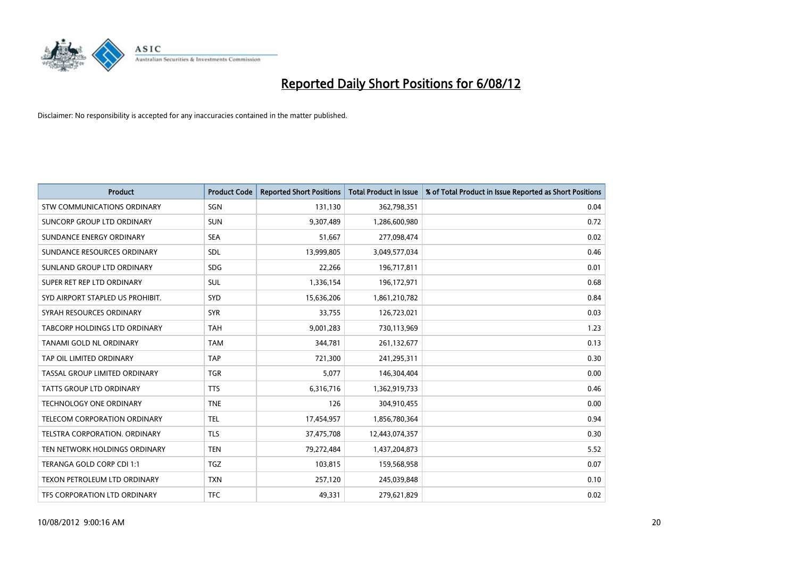

| <b>Product</b>                       | <b>Product Code</b> | <b>Reported Short Positions</b> | <b>Total Product in Issue</b> | % of Total Product in Issue Reported as Short Positions |
|--------------------------------------|---------------------|---------------------------------|-------------------------------|---------------------------------------------------------|
| <b>STW COMMUNICATIONS ORDINARY</b>   | SGN                 | 131,130                         | 362,798,351                   | 0.04                                                    |
| SUNCORP GROUP LTD ORDINARY           | <b>SUN</b>          | 9,307,489                       | 1,286,600,980                 | 0.72                                                    |
| SUNDANCE ENERGY ORDINARY             | <b>SEA</b>          | 51,667                          | 277,098,474                   | 0.02                                                    |
| SUNDANCE RESOURCES ORDINARY          | <b>SDL</b>          | 13,999,805                      | 3,049,577,034                 | 0.46                                                    |
| SUNLAND GROUP LTD ORDINARY           | <b>SDG</b>          | 22,266                          | 196,717,811                   | 0.01                                                    |
| SUPER RET REP LTD ORDINARY           | <b>SUL</b>          | 1,336,154                       | 196,172,971                   | 0.68                                                    |
| SYD AIRPORT STAPLED US PROHIBIT.     | <b>SYD</b>          | 15,636,206                      | 1,861,210,782                 | 0.84                                                    |
| SYRAH RESOURCES ORDINARY             | <b>SYR</b>          | 33,755                          | 126,723,021                   | 0.03                                                    |
| TABCORP HOLDINGS LTD ORDINARY        | <b>TAH</b>          | 9,001,283                       | 730,113,969                   | 1.23                                                    |
| TANAMI GOLD NL ORDINARY              | <b>TAM</b>          | 344,781                         | 261,132,677                   | 0.13                                                    |
| TAP OIL LIMITED ORDINARY             | <b>TAP</b>          | 721,300                         | 241,295,311                   | 0.30                                                    |
| <b>TASSAL GROUP LIMITED ORDINARY</b> | <b>TGR</b>          | 5,077                           | 146,304,404                   | 0.00                                                    |
| TATTS GROUP LTD ORDINARY             | <b>TTS</b>          | 6,316,716                       | 1,362,919,733                 | 0.46                                                    |
| <b>TECHNOLOGY ONE ORDINARY</b>       | <b>TNE</b>          | 126                             | 304,910,455                   | 0.00                                                    |
| <b>TELECOM CORPORATION ORDINARY</b>  | <b>TEL</b>          | 17,454,957                      | 1,856,780,364                 | 0.94                                                    |
| TELSTRA CORPORATION. ORDINARY        | <b>TLS</b>          | 37,475,708                      | 12,443,074,357                | 0.30                                                    |
| TEN NETWORK HOLDINGS ORDINARY        | <b>TEN</b>          | 79,272,484                      | 1,437,204,873                 | 5.52                                                    |
| TERANGA GOLD CORP CDI 1:1            | <b>TGZ</b>          | 103,815                         | 159,568,958                   | 0.07                                                    |
| TEXON PETROLEUM LTD ORDINARY         | <b>TXN</b>          | 257,120                         | 245,039,848                   | 0.10                                                    |
| TFS CORPORATION LTD ORDINARY         | <b>TFC</b>          | 49,331                          | 279,621,829                   | 0.02                                                    |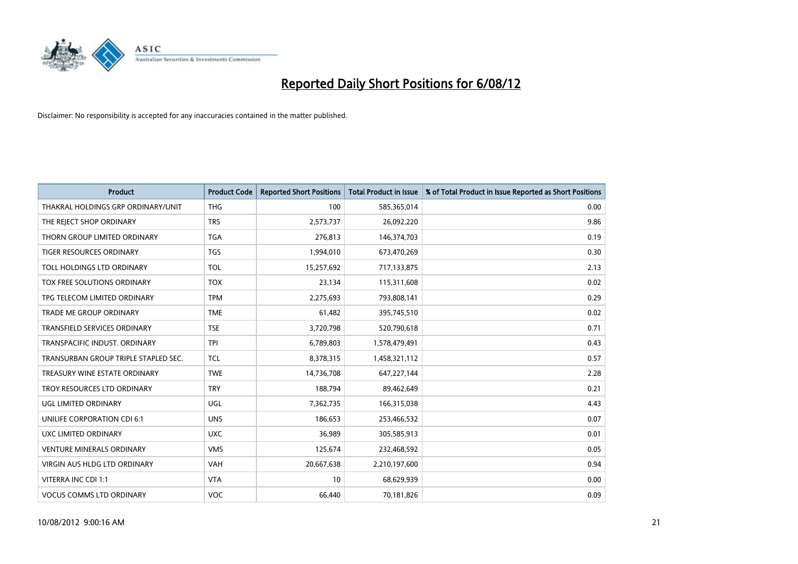

| <b>Product</b>                       | <b>Product Code</b> | <b>Reported Short Positions</b> | <b>Total Product in Issue</b> | % of Total Product in Issue Reported as Short Positions |
|--------------------------------------|---------------------|---------------------------------|-------------------------------|---------------------------------------------------------|
| THAKRAL HOLDINGS GRP ORDINARY/UNIT   | <b>THG</b>          | 100                             | 585,365,014                   | 0.00                                                    |
| THE REJECT SHOP ORDINARY             | <b>TRS</b>          | 2,573,737                       | 26,092,220                    | 9.86                                                    |
| THORN GROUP LIMITED ORDINARY         | <b>TGA</b>          | 276,813                         | 146,374,703                   | 0.19                                                    |
| TIGER RESOURCES ORDINARY             | <b>TGS</b>          | 1,994,010                       | 673,470,269                   | 0.30                                                    |
| TOLL HOLDINGS LTD ORDINARY           | <b>TOL</b>          | 15,257,692                      | 717,133,875                   | 2.13                                                    |
| <b>TOX FREE SOLUTIONS ORDINARY</b>   | <b>TOX</b>          | 23,134                          | 115,311,608                   | 0.02                                                    |
| TPG TELECOM LIMITED ORDINARY         | <b>TPM</b>          | 2,275,693                       | 793,808,141                   | 0.29                                                    |
| TRADE ME GROUP ORDINARY              | <b>TME</b>          | 61,482                          | 395,745,510                   | 0.02                                                    |
| TRANSFIELD SERVICES ORDINARY         | <b>TSE</b>          | 3,720,798                       | 520,790,618                   | 0.71                                                    |
| TRANSPACIFIC INDUST, ORDINARY        | <b>TPI</b>          | 6,789,803                       | 1,578,479,491                 | 0.43                                                    |
| TRANSURBAN GROUP TRIPLE STAPLED SEC. | <b>TCL</b>          | 8,378,315                       | 1,458,321,112                 | 0.57                                                    |
| TREASURY WINE ESTATE ORDINARY        | <b>TWE</b>          | 14,736,708                      | 647,227,144                   | 2.28                                                    |
| TROY RESOURCES LTD ORDINARY          | <b>TRY</b>          | 188,794                         | 89,462,649                    | 0.21                                                    |
| UGL LIMITED ORDINARY                 | UGL                 | 7,362,735                       | 166,315,038                   | 4.43                                                    |
| UNILIFE CORPORATION CDI 6:1          | <b>UNS</b>          | 186,653                         | 253,466,532                   | 0.07                                                    |
| UXC LIMITED ORDINARY                 | <b>UXC</b>          | 36,989                          | 305,585,913                   | 0.01                                                    |
| <b>VENTURE MINERALS ORDINARY</b>     | <b>VMS</b>          | 125,674                         | 232,468,592                   | 0.05                                                    |
| VIRGIN AUS HLDG LTD ORDINARY         | <b>VAH</b>          | 20,667,638                      | 2,210,197,600                 | 0.94                                                    |
| VITERRA INC CDI 1:1                  | <b>VTA</b>          | 10                              | 68,629,939                    | 0.00                                                    |
| <b>VOCUS COMMS LTD ORDINARY</b>      | <b>VOC</b>          | 66,440                          | 70,181,826                    | 0.09                                                    |